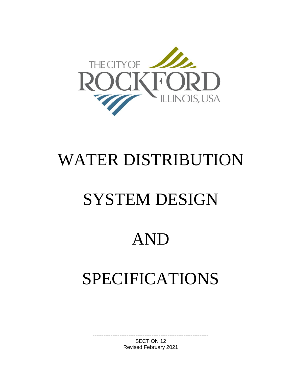

# WATER DISTRIBUTION

# SYSTEM DESIGN

# AND

# SPECIFICATIONS

----------------------------------------------------------------- SECTION 12 Revised February 2021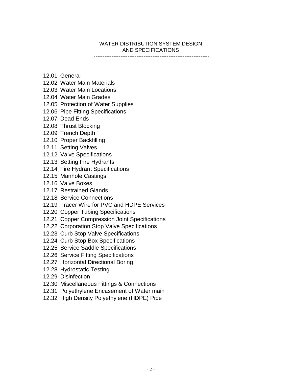## WATER DISTRIBUTION SYSTEM DESIGN AND SPECIFICATIONS

-----------------------------------------------------------------

- 12.01 General
- 12.02 Water Main Materials
- 12.03 Water Main Locations
- 12.04 Water Main Grades
- 12.05 Protection of Water Supplies
- 12.06 Pipe Fitting Specifications
- 12.07 Dead Ends
- 12.08 Thrust Blocking
- 12.09 Trench Depth
- 12.10 Proper Backfilling
- 12.11 Setting Valves
- 12.12 Valve Specifications
- 12.13 Setting Fire Hydrants
- 12.14 Fire Hydrant Specifications
- 12.15 Manhole Castings
- 12.16 Valve Boxes
- 12.17 Restrained Glands
- 12.18 Service Connections
- 12.19 Tracer Wire for PVC and HDPE Services
- 12.20 Copper Tubing Specifications
- 12.21 Copper Compression Joint Specifications
- 12.22 Corporation Stop Valve Specifications
- 12.23 Curb Stop Valve Specifications
- 12.24 Curb Stop Box Specifications
- 12.25 Service Saddle Specifications
- 12.26 Service Fitting Specifications
- 12.27 Horizontal Directional Boring
- 12.28 Hydrostatic Testing
- 12.29 Disinfection
- 12.30 Miscellaneous Fittings & Connections
- 12.31 Polyethylene Encasement of Water main
- 12.32 High Density Polyethylene (HDPE) Pipe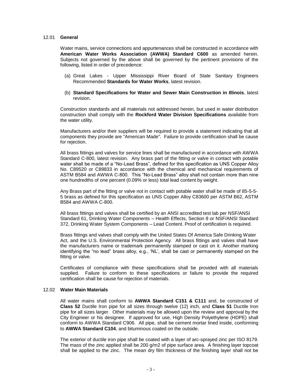#### 12.01 **General**

Water mains, service connections and appurtenances shall be constructed in accordance with **American Water Works Association (AWWA) Standard C600** as amended herein. Subjects not governed by the above shall be governed by the pertinent provisions of the following, listed in order of precedence:

- (a) Great Lakes Upper Mississippi River Board of State Sanitary Engineers Recommended **Standards for Water Works**, latest revision.
- (b) **Standard Specifications for Water and Sewer Main Construction in Illinois**, latest revision.

Construction standards and all materials not addressed herein, but used in water distribution construction shall comply with the **Rockford Water Division Specifications** available from the water utility.

Manufacturers and/or their suppliers will be required to provide a statement indicating that all components they provide are "American Made". Failure to provide certification shall be cause for rejection.

All brass fittings and valves for service lines shall be manufactured in accordance with AWWA Standard C-800, latest revision. Any brass part of the fitting or valve in contact with potable water shall be made of a "No-Lead Brass", defined for this specification as UNS Copper Alloy No. C89520 or C89833 in accordance with the chemical and mechanical requirements of ASTM B584 and AWWA C-800. This "No-Lead Brass" alloy shall not contain more than nine one hundredths of one percent (0.09% or less) total lead content by weight.

Any Brass part of the fitting or valve not in contact with potable water shall be made of 85-5-5- 5 brass as defined for this specification as UNS Copper Alloy C83600 per ASTM B62, ASTM B584 and AWWA C-800.

All brass fittings and valves shall be certified by an ANSI accredited test lab per NSF/ANSI Standard 61, Drinking Water Components – Health Effects, Section 8 or NSF/ANSI Standard 372, Drinking Water System Components – Lead Content. Proof of certification is required.

Brass fittings and valves shall comply with the United States Of America Safe Drinking Water Act, and the U.S. Environmental Protection Agency. All brass fittings and valves shall have the manufacturers name or trademark permanently stamped or cast on it. Another marking identifying the "no lead" brass alloy, e.g., 'NL', shall be cast or permanently stamped on the fitting or valve.

Certificates of compliance with these specifications shall be provided with all materials supplied. Failure to conform to these specifications or failure to provide the required certification shall be cause for rejection of materials.

#### 12.02 **Water Main Materials**

All water mains shall conform to **AWWA Standard C151 & C111** and, be constructed of **Class 52** Ductile Iron pipe for all sizes through twelve (12) inch, and **Class 51** Ductile Iron pipe for all sizes larger. Other materials may be allowed upon the review and approval by the City Engineer or his designee. If approved for use, High Density Polyethylene (HDPE) shall conform to AWWA Standard C906. All pipe, shall be cement mortar lined inside, conforming to **AWWA Standard C104**, and bituminous coated on the outside.

The exterior of ductile iron pipe shall be coated with a layer of arc-sprayed zinc per ISO 8179. The mass of the zinc applied shall be 200 g/m2 of pipe surface area. A finishing layer topcoat shall be applied to the zinc. The mean dry film thickness of the finishing layer shall not be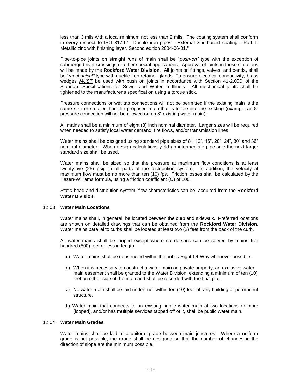less than 3 mils with a local minimum not less than 2 mils. The coating system shall conform in every respect to ISO 8179-1 "Ductile iron pipes - External zinc-based coating - Part 1: Metallic zinc with finishing layer. Second edition 2004-06-01."

Pipe-to-pipe joints on straight runs of main shall be "*push-on"* type with the exception of submerged river crossings or other special applications. Approval of joints in those situations will be made by the **Rockford Water Division**. All joints on fittings, valves, and bends, shall be "*mechanical"* type with ductile iron retainer glands. To ensure electrical conductivity, brass wedges *MUST* be used with push on joints in accordance with Section 41-2.05D of the Standard Specifications for Sewer and Water in Illinois. All mechanical joints shall be tightened to the manufacturer's specification using a torque stick.

Pressure connections or wet tap connections will not be permitted if the existing main is the same size or smaller than the proposed main that is to tee into the existing (example an 8" pressure connection will not be allowed on an 8" existing water main).

All mains shall be a minimum of eight (8) inch nominal diameter. Larger sizes will be required when needed to satisfy local water demand, fire flows, and/or transmission lines.

Water mains shall be designed using standard pipe sizes of 8", 12", 16", 20", 24", 30" and 36" nominal diameter. When design calculations yield an intermediate pipe size the next larger standard size shall be used.

Water mains shall be sized so that the pressure at maximum flow conditions is at least twenty-five (25) psig in all parts of the distribution system. In addition, the velocity at maximum flow must be no more than ten (10) fps. Friction losses shall be calculated by the Hazen-Williams formula, using a friction coefficient (C) of 100.

Static head and distribution system, flow characteristics can be, acquired from the **Rockford Water Division**.

#### 12.03 **Water Main Locations**

Water mains shall, in general, be located between the curb and sidewalk. Preferred locations are shown on detailed drawings that can be obtained from the **Rockford Water Division**. Water mains parallel to curbs shall be located at least two (2) feet from the back of the curb.

All water mains shall be looped except where cul-de-sacs can be served by mains five hundred (500) feet or less in length.

- a.) Water mains shall be constructed within the public Right-Of-Way whenever possible.
- b.) When it is necessary to construct a water main on private property, an exclusive water main easement shall be granted to the Water Division, extending a minimum of ten (10) feet on either side of the main and shall be recorded with the final plat.
- c.) No water main shall be laid under, nor within ten (10) feet of, any building or permanent structure.
- d.) Water main that connects to an existing public water main at two locations or more (looped), and/or has multiple services tapped off of it, shall be public water main.

#### 12.04 **Water Main Grades**

Water mains shall be laid at a uniform grade between main junctures. Where a uniform grade is not possible, the grade shall be designed so that the number of changes in the direction of slope are the minimum possible.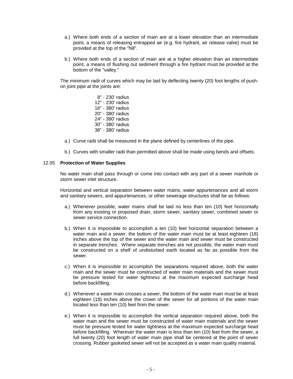- a.) Where both ends of a section of main are at a lower elevation than an intermediate point, a means of releasing entrapped air (e.g. fire hydrant, air release valve) must be provided at the top of the "hill".
- b.) Where both ends of a section of main are at a higher elevation than an intermediate point, a means of flushing out sediment through a fire hydrant must be provided at the bottom of the "valley."

The minimum radii of curves which may be laid by deflecting twenty (20) foot lengths of pushon joint pipe at the joints are:

- 8" 230' radius 12" - 230' radius 16" - 380' radius 20" - 380' radius 24" - 380' radius 30" - 380' radius 36" - 380' radius
- a.) Curve radii shall be measured in the plane defined by centerlines of the pipe.
- b.) Curves with smaller radii than permitted above shall be made using bends and offsets.

#### 12.05 **Protection of Water Supplies**

No water main shall pass through or come into contact with any part of a sewer manhole or storm sewer inlet structure.

Horizontal and vertical separation between water mains, water appurtenances and all storm and sanitary sewers, and appurtenances, or other sewerage structures shall be as follows:

- a.) Whenever possible, water mains shall be laid no less than ten (10) feet horizontally from any existing or proposed drain, storm sewer, sanitary sewer, combined sewer or sewer service connection.
- b.) When it is impossible to accomplish a ten (10) feet horizontal separation between a water main and a sewer, the bottom of the water main must be at least eighteen (18) inches above the top of the sewer and the water main and sewer must be constructed in separate trenches. Where separate trenches are not possible, the water main must be constructed on a shelf of undisturbed earth located as far as possible from the sewer.
- c.) When it is impossible to accomplish the separations required above, both the water main and the sewer must be constructed of water main materials and the sewer must be pressure tested for water tightness at the maximum expected surcharge head before backfilling.
- d.) Whenever a water main crosses a sewer, the bottom of the water main must be at least eighteen (18) inches above the crown of the sewer for all portions of the water main located less than ten (10) feet from the sewer.
- e.) When it is impossible to accomplish the vertical separation required above, both the water main and the sewer must be constructed of water main materials and the sewer must be pressure tested for water tightness at the maximum expected surcharge head before backfilling. Wherever the water main is less than ten (10) feet from the sewer, a full twenty (20) foot length of water main pipe shall be centered at the point of sewer crossing. Rubber gasketed sewer will not be accepted as a water main quality material.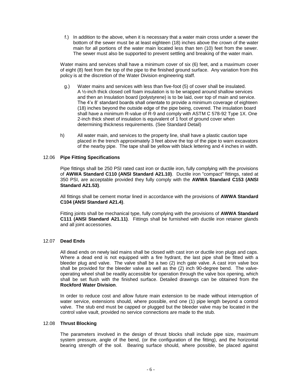f.) In addition to the above, when it is necessary that a water main cross under a sewer the bottom of the sewer must be at least eighteen (18) inches above the crown of the water main for all portions of the water main located less than ten (10) feet from the sewer. The sewer must also be supported to prevent settling and breaking of the water main.

Water mains and services shall have a minimum cover of six (6) feet, and a maximum cover of eight (8) feet from the top of the pipe to the finished ground surface. Any variation from this policy is at the discretion of the Water Division engineering staff.

- g.) Water mains and services with less than five-foot (5) of cover shall be insulated. A ½-inch thick closed cell foam insulation is to be wrapped around shallow services and then an Insulation board (polystyrene) is to be laid, over top of main and service. The 4'x 8' standard boards shall orientate to provide a minimum coverage of eighteen (18) inches beyond the outside edge of the pipe being, covered. The insulation board shall have a minimum R-value of R-9 and comply with ASTM C 578-92 Type 1X. One 2-inch thick sheet of insulation is equivalent of 1 foot of ground cover when determining thickness requirements. (See Standard Detail)
- h) All water main, and services to the property line, shall have a plastic caution tape placed in the trench approximately 3 feet above the top of the pipe to warn excavators of the nearby pipe. The tape shall be yellow with black lettering and 4 inches in width.

#### 12.06 **Pipe Fitting Specifications**

Pipe fittings shall be 250 PSI rated cast iron or ductile iron, fully complying with the provisions of **AWWA Standard C110 (ANSI Standard A21.10)**. Ductile iron "compact" fittings, rated at 350 PSI, are acceptable provided they fully comply with the **AWWA Standard C153 (ANSI Standard A21.53)**.

All fittings shall be cement mortar lined in accordance with the provisions of **AWWA Standard C104 (ANSI Standard A21.4)**.

Fitting joints shall be mechanical type, fully complying with the provisions of **AWWA Standard C111 (ANSI Standard A21.11)**. Fittings shall be furnished with ductile iron retainer glands and all joint accessories.

#### 12.07 **Dead Ends**

All dead ends on newly laid mains shall be closed with cast iron or ductile iron plugs and caps. Where a dead end is not equipped with a fire hydrant, the last pipe shall be fitted with a bleeder plug and valve. The valve shall be a two (2) inch gate valve. A cast iron valve box shall be provided for the bleeder valve as well as the (2) inch 90-degree bend. The valveoperating wheel shall be readily accessible for operation through the valve box opening, which shall be set flush with the finished surface. Detailed drawings can be obtained from the **Rockford Water Division**.

In order to reduce cost and allow future main extension to be made without interruption of water service, extensions should, where possible, end one (1) pipe length beyond a control valve. The stub end must be capped or plugged but the bleeder valve may be located in the control valve vault, provided no service connections are made to the stub.

#### 12.08 **Thrust Blocking**

The parameters involved in the design of thrust blocks shall include pipe size, maximum system pressure, angle of the bend, (or the configuration of the fitting), and the horizontal bearing strength of the soil. Bearing surface should, where possible, be placed against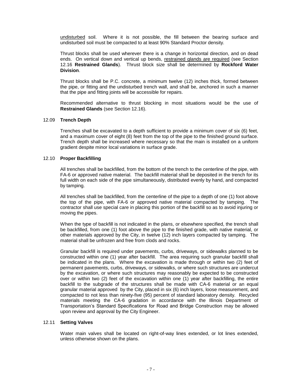undisturbed soil. Where it is not possible, the fill between the bearing surface and undisturbed soil must be compacted to at least 90% Standard Proctor density.

Thrust blocks shall be used wherever there is a change in horizontal direction, and on dead ends. On vertical down and vertical up bends, restrained glands are required (see Section 12.16 **Restrained Glands**). Thrust block size shall be determined by **Rockford Water Division**.

Thrust blocks shall be P.C. concrete, a minimum twelve (12) inches thick, formed between the pipe, or fitting and the undisturbed trench wall, and shall be, anchored in such a manner that the pipe and fitting joints will be accessible for repairs.

Recommended alternative to thrust blocking in most situations would be the use of **Restrained Glands** (see Section 12.16).

#### 12.09 **Trench Depth**

Trenches shall be excavated to a depth sufficient to provide a minimum cover of six (6) feet, and a maximum cover of eight (8) feet from the top of the pipe to the finished ground surface. Trench depth shall be increased where necessary so that the main is installed on a uniform gradient despite minor local variations in surface grade.

#### 12.10 **Proper Backfilling**

All trenches shall be backfilled, from the bottom of the trench to the centerline of the pipe, with FA-6 or approved native material. The backfill material shall be deposited in the trench for its full width on each side of the pipe simultaneously, distributed evenly by hand, and compacted by tamping.

All trenches shall be backfilled, from the centerline of the pipe to a depth of one (1) foot above the top of the pipe, with FA-6 or approved native material compacted by tamping. The contractor shall use special care in placing this portion of the backfill so as to avoid injuring or moving the pipes.

When the type of backfill is not indicated in the plans, or elsewhere specified, the trench shall be backfilled, from one (1) foot above the pipe to the finished grade, with native material, or other materials approved by the City, in twelve (12) inch layers compacted by tamping. The material shall be unfrozen and free from clods and rocks.

Granular backfill is required under pavements, curbs, driveways, or sidewalks planned to be constructed within one (1) year after backfill. The area requiring such granular backfill shall be indicated in the plans. Where the excavation is made through or within two (2) feet of permanent pavements, curbs, driveways, or sidewalks, or where such structures are undercut by the excavation, or where such structures may reasonably be expected to be constructed over or within two (2) feet of the excavation within one (1) year after backfilling, the entire backfill to the subgrade of the structures shall be made with CA-6 material or an equal granular material approved by the City, placed in six (6) inch layers, loose measurement, and compacted to not less than ninety-five (95) percent of standard laboratory density. Recycled materials meeting the CA-6 gradation in accordance with the Illinois Department of Transportation's Standard Specifications for Road and Bridge Construction may be allowed upon review and approval by the City Engineer.

#### 12.11 **Setting Valves**

Water main valves shall be located on right-of-way lines extended, or lot lines extended, unless otherwise shown on the plans.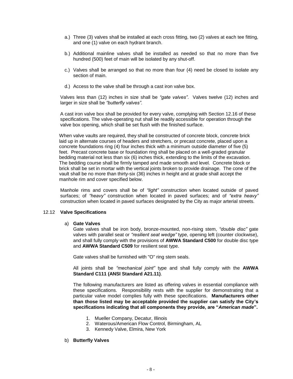- a.) Three (3) valves shall be installed at each cross fitting, two (2) valves at each tee fitting, and one (1) valve on each hydrant branch.
- b.) Additional mainline valves shall be installed as needed so that no more than five hundred (500) feet of main will be isolated by any shut-off.
- c.) Valves shall be arranged so that no more than four (4) need be closed to isolate any section of main.
- d.) Access to the valve shall be through a cast iron valve box.

Valves less than (12) inches in size shall be *"gate valves"*. Valves twelve (12) inches and larger in size shall be *"butterfly valves".*

A cast iron valve box shall be provided for every valve, complying with Section 12.16 of these specifications. The valve-operating nut shall be readily accessible for operation through the valve box opening, which shall be set flush with the finished surface.

When valve vaults are required, they shall be constructed of concrete block, concrete brick laid up in alternate courses of headers and stretchers, or precast concrete, placed upon a concrete foundations ring (4) four inches thick with a minimum outside diameter of five (5) feet. Precast concrete base or foundation ring shall be placed on a well-graded granular bedding material not less than six (6) inches thick, extending to the limits of the excavation. The bedding course shall be firmly tamped and made smooth and level. Concrete block or brick shall be set in mortar with the vertical joints broken to provide drainage. The cone of the vault shall be no more than thirty-six (36) inches in height and at grade shall accept the manhole rim and cover specified below.

Manhole rims and covers shall be of *"light"* construction when located outside of paved surfaces; of *"heavy"* construction when located in paved surfaces; and of *"extra heavy"* construction when located in paved surfaces designated by the City as major arterial streets.

#### 12.12 **Valve Specifications**

#### a) **Gate Valves**

Gate valves shall be iron body, bronze-mounted, non-rising stem, *"double disc"* gate valves with parallel seat or *"resilient seat wedge"* type, opening left (counter clockwise), and shall fully comply with the provisions of **AWWA Standard C500** for double disc type and **AWWA Standard C509** for resilient seat type.

Gate valves shall be furnished with "O" ring stem seals.

All joints shall be *"mechanical joint"* type and shall fully comply with the **AWWA Standard C111 (ANSI Standard A21.11)**.

The following manufacturers are listed as offering valves in essential compliance with these specifications. Responsibility rests with the supplier for demonstrating that a particular valve model complies fully with these specifications. **Manufacturers other than those listed may be acceptable provided the supplier can satisfy the City's specifications indicating that all components they provide, are "***American made***".**

- 1. Mueller Company, Decatur, Illinois
- 2. Waterous/American Flow Control, Birmingham, AL
- 3. Kennedy Valve, Elmira, New York

#### b) **Butterfly Valves**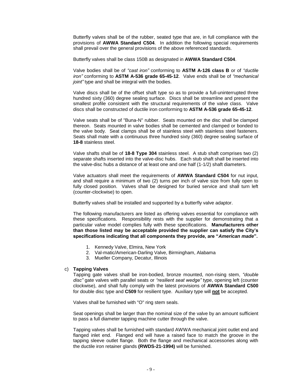Butterfly valves shall be of the rubber, seated type that are, in full compliance with the provisions of **AWWA Standard C504**. In addition the following special requirements shall prevail over the general provisions of the above referenced standards.

Butterfly valves shall be class 150B as designated in **AWWA Standard C504**.

Valve bodies shall be of *"cast iron"* conforming to **ASTM A-126 class B** or of *"ductile iron"* conforming to **ASTM A-536 grade 65-45-12**. Valve ends shall be of *"mechanical joint"* type and shall be integral with the bodies.

Valve discs shall be of the offset shaft type so as to provide a full-uninterrupted three hundred sixty (360) degree sealing surface. Discs shall be streamline and present the smallest profile consistent with the structural requirements of the valve class. Valve discs shall be constructed of ductile iron conforming to **ASTM A-536 grade 65-45-12**.

Valve seats shall be of "Buna-N" rubber. Seats mounted on the disc shall be clamped thereon. Seats mounted in valve bodies shall be cemented and clamped or bonded to the valve body. Seat clamps shall be of stainless steel with stainless steel fasteners. Seats shall mate with a continuous three hundred sixty (360) degree sealing surface of **18-8** stainless steel.

Valve shafts shall be of **18-8 Type 304** stainless steel. A stub shaft comprises two (2) separate shafts inserted into the valve-disc hubs. Each stub shaft shall be inserted into the valve-disc hubs a distance of at least one and one half (1-1/2) shaft diameters.

Valve actuators shall meet the requirements of **AWWA Standard C504** for nut input, and shall require a minimum of two (2) turns per inch of valve size from fully open to fully closed position. Valves shall be designed for buried service and shall turn left (counter-clockwise) to open.

Butterfly valves shall be installed and supported by a butterfly valve adaptor.

The following manufacturers are listed as offering valves essential for compliance with these specifications. Responsibility rests with the supplier for demonstrating that a particular valve model complies fully with these specifications. **Manufacturers other than those listed may be acceptable provided the supplier can satisfy the City's specifications indicating that all components they provide, are "***American made***".** 

- 1. Kennedy Valve, Elmira, New York
- 2. Val-matic/American-Darling Valve, Birmingham, Alabama
- 3. Mueller Company, Decatur, Illinois

#### c) **Tapping Valves**

Tapping gate valves shall be iron-bodied, bronze mounted, non-rising stem, *"double disc"* gate valves with parallel seats or *"resilient seat wedge"* type, opening left (counter clockwise), and shall fully comply with the latest provisions of **AWWA Standard C500** for double disc type and **C509** for resilient type. Auxiliary type will **not** be accepted.

Valves shall be furnished with "O" ring stem seals.

Seat openings shall be larger than the nominal size of the valve by an amount sufficient to pass a full diameter tapping machine cutter through the valve.

Tapping valves shall be furnished with standard AWWA mechanical joint outlet end and flanged inlet end. Flanged end will have a raised face to match the groove in the tapping sleeve outlet flange. Both the flange and mechanical accessories along with the ductile iron retainer glands **(RWDS-21-1994)** will be furnished.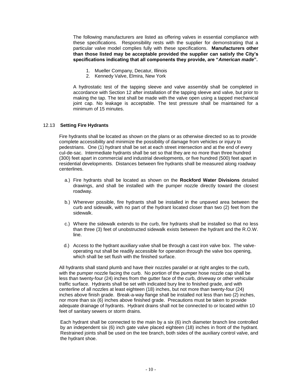The following manufacturers are listed as offering valves in essential compliance with these specifications. Responsibility rests with the supplier for demonstrating that a particular valve model complies fully with these specifications. **Manufacturers other than those listed may be acceptable provided the supplier can satisfy the City's specifications indicating that all components they provide, are "***American made***".**

- 1. Mueller Company, Decatur, Illinois
- 2. Kennedy Valve, Elmira, New York

A hydrostatic test of the tapping sleeve and valve assembly shall be completed in accordance with Section 12 after installation of the tapping sleeve and valve, but prior to making the tap. The test shall be made with the valve open using a tapped mechanical joint cap. No leakage is acceptable. The test pressure shall be maintained for a minimum of 15 minutes.

### 12.13 **Setting Fire Hydrants**

Fire hydrants shall be located as shown on the plans or as otherwise directed so as to provide complete accessibility and minimize the possibility of damage from vehicles or injury to pedestrians. One (1) hydrant shall be set at each street intersection and at the end of every cul-de-sac. Intermediate hydrants shall be set so that they are no more than three hundred (300) feet apart in commercial and industrial developments, or five hundred (500) feet apart in residential developments. Distances between fire hydrants shall be measured along roadway centerlines.

- a.) Fire hydrants shall be located as shown on the **Rockford Water Divisions** detailed drawings, and shall be installed with the pumper nozzle directly toward the closest roadway.
- b.) Wherever possible, fire hydrants shall be installed in the unpaved area between the curb and sidewalk, with no part of the hydrant located closer than two (2) feet from the sidewalk.
- c.) Where the sidewalk extends to the curb, fire hydrants shall be installed so that no less than three (3) feet of unobstructed sidewalk exists between the hydrant and the R.O.W. line.
- d.) Access to the hydrant auxiliary valve shall be through a cast iron valve box. The valveoperating nut shall be readily accessible for operation through the valve box opening, which shall be set flush with the finished surface.

All hydrants shall stand plumb and have their nozzles parallel or at right angles to the curb, with the pumper nozzle facing the curb. No portion of the pumper hose nozzle cap shall be less than twenty-four (24) inches from the gutter face of the curb, driveway or other vehicular traffic surface. Hydrants shall be set with indicated bury line to finished grade, and with centerline of all nozzles at least eighteen (18) inches, but not more than twenty-four (24) inches above finish grade. Break-a-way flange shall be installed not less than two (2) inches, nor more than six (6) inches above finished grade. Precautions must be taken to provide adequate drainage of hydrants. Hydrant drains shall not be connected to or located within 10 feet of sanitary sewers or storm drains.

Each hydrant shall be connected to the main by a six (6) inch diameter branch line controlled by an independent six (6) inch gate valve placed eighteen (18) inches in front of the hydrant. Restrained joints shall be used on the tee branch, both sides of the auxiliary control valve, and the hydrant shoe.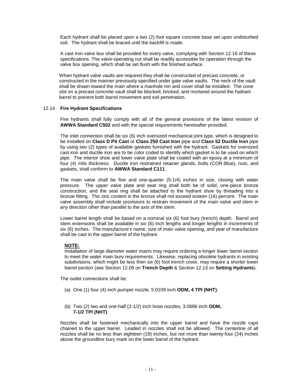Each hydrant shall be placed upon a two (2) foot square concrete base set upon undisturbed soil. The hydrant shall be braced until the backfill is made.

A cast iron valve box shall be provided for every valve, complying with Section 12.16 of these specifications. The valve-operating nut shall be readily accessible for operation through the valve box opening, which shall be set flush with the finished surface.

When hydrant valve vaults are required they shall be constructed of precast concrete, or constructed in the manner previously specified under gate valve vaults. The neck of the vault shall be drawn toward the main where a manhole rim and cover shall be installed. The cone slot on a precast concrete vault shall be blocked, bricked, and mortared around the hydrant barrel to prevent both barrel movement and soil penetration.

#### 12.14 **Fire Hydrant Specifications**

Fire hydrants shall fully comply with all of the general provisions of the latest revision of **AWWA Standard C502** and with the special requirements hereinafter provided.

The inlet connection shall be six (6) inch oversized mechanical joint type, which is designed to be installed on **Class D Pit Cast** or **Class 250 Cast Iron** pipe and **Class 52 Ductile Iron** pipe by using two (2) types of available gaskets furnished with the hydrant. Gaskets for oversized cast iron and ductile iron are to be color coded to identify which gasket is to be used on which pipe. The interior shoe and lower valve plate shall be coated with an epoxy at a minimum of four (4) mils thickness. Ductile iron restrained retainer glands, bolts (COR-Blue), nuts, and gaskets, shall conform to **AWWA Standard C111**.

The main valve shall be five and one-quarter (5-1/4) inches in size, closing with water pressure. The upper valve plate and seat ring shall both be of solid, one-piece bronze construction, and the seat ring shall be attached to the hydrant shoe by threading into a bronze fitting. The zinc content in the bronze shall not exceed sixteen (16) percent. The main valve assembly shall include provisions to restrain movement of the main valve and stem in any direction other than parallel to the axis of the stem.

Lower barrel length shall be based on a nominal six (6) foot bury (trench) depth. Barrel and stem extensions shall be available in six (6) inch lengths and longer lengths in increments of six (6) inches. The manufacture's name, size of main valve opening, and year of manufacture shall be cast in the upper barrel of the hydrant.

#### **NOTE:**

Installation of large diameter water mains may require ordering a longer lower barrel section to meet the water main bury requirements. Likewise, replacing obsolete hydrants in existing subdivisions, which might be less then six (6) foot trench cover, may require a shorter lower barrel section (see Section 12.09 on **Trench Depth** & Section 12.13 on **Setting Hydrants**).

The outlet connections shall be:

- (a) One (1) four (4) inch pumper nozzle, 5.0109 inch **ODM, 4 TPI (NHT)**.
- (b) Two (2) two and one-half (2-1/2) inch hose nozzles, 3.0686 inch **ODM, 7-1/2 TPI (NHT)**.

Nozzles shall be fastened mechanically into the upper barrel and have the nozzle caps chained to the upper barrel. Leaded in nozzles shall not be allowed. The centerline of all nozzles shall be no less than eighteen (18) inches, but not more than twenty-four (24) inches above the groundline bury mark on the lower barrel of the hydrant.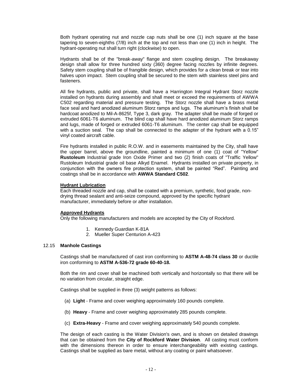Both hydrant operating nut and nozzle cap nuts shall be one (1) inch square at the base tapering to seven-eighths (7/8) inch at the top and not less than one (1) inch in height. The hydrant-operating nut shall turn right (clockwise) to open.

Hydrants shall be of the "break-away" flange and stem coupling design. The breakaway design shall allow for three hundred sixty (360) degree facing nozzles by infinite degrees. Safety stem coupling shall be of frangible design, which provides for a clean break or tear into halves upon impact. Stem coupling shall be secured to the stem with stainless steel pins and fasteners.

All fire hydrants, public and private, shall have a Harrington Integral Hydrant Storz nozzle installed on hydrants during assembly and shall meet or exceed the requirements of AWWA C502 regarding material and pressure testing. The Storz nozzle shall have a brass metal face seal and hard anodized aluminum Storz ramps and lugs. The aluminum's finish shall be hardcoat anodized to Mil-A-8625f, Type 3, dark gray. The adapter shall be made of forged or extruded 6061-T6 aluminum. The blind cap shall have hard anodized aluminum Storz ramps and lugs, made of forged or extruded 6061-T6 aluminum. The center cap shall be equipped with a suction seal. The cap shall be connected to the adapter of the hydrant with a 0.15" vinyl coated aircraft cable.

Fire hydrants installed in public R.O.W. and in easements maintained by the City, shall have the upper barrel, above the groundline, painted a minimum of one (1) coat of "Yellow" **Rustoleum** Industrial grade Iron Oxide Primer and two (2) finish coats of "Traffic Yellow" Rustoleum Industrial grade oil base Alkyd Enamel. Hydrants installed on private property, in conjunction with the owners fire protection system, shall be painted "Red". Painting and coatings shall be in accordance with **AWWA Standard C502**.

#### **Hydrant Lubrication**

Each threaded nozzle and cap, shall be coated with a premium, synthetic, food grade, nondrying thread sealant and anti-seize compound, approved by the specific hydrant manufacturer, immediately before or after installation.

#### **Approved Hydrants**

Only the following manufacturers and models are accepted by the City of Rockford.

- 1. Kennedy Guardian K-81A
- 2. Mueller Super Centurion A-423

#### 12.15 **Manhole Castings**

Castings shall be manufactured of cast iron conforming to **ASTM A-48-74 class 30** or ductile iron conforming to **ASTM A-536-72 grade 60-40-18.**

Both the rim and cover shall be machined both vertically and horizontally so that there will be no variation from circular, straight edge.

Castings shall be supplied in three (3) weight patterns as follows:

- (a) **Light** Frame and cover weighing approximately 160 pounds complete.
- (b) **Heavy** Frame and cover weighing approximately 285 pounds complete.
- (c) **Extra-Heavy** Frame and cover weighing approximately 540 pounds complete.

The design of each casting is the Water Division's own, and is shown on detailed drawings that can be obtained from the **City of Rockford Water Division**. All casting must conform with the dimensions thereon in order to ensure interchangeability with existing castings. Castings shall be supplied as bare metal, without any coating or paint whatsoever.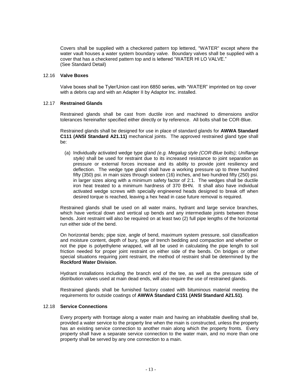Covers shall be supplied with a checkered pattern top lettered, "WATER" except where the water vault houses a water system boundary valve. Boundary valves shall be supplied with a cover that has a checkered pattern top and is lettered "WATER HI LO VALVE." (See Standard Detail)

#### 12.16 **Valve Boxes**

Valve boxes shall be Tyler/Union cast iron 6850 series, with "WATER" imprinted on top cover with a debris cap and with an Adapter II by Adaptor Inc. installed.

#### 12.17 **Restrained Glands**

Restrained glands shall be cast from ductile iron and machined to dimensions and/or tolerances hereinafter specified either directly or by reference. All bolts shall be COR-Blue.

Restrained glands shall be designed for use in place of standard glands for **AWWA Standard C111 (ANSI Standard A21.11)** mechanical joints. The approved restrained gland type shall be:

(a) Individually activated wedge type gland *(e.g. Megalug style (COR-Blue bolts); Uniflange style)* shall be used for restraint due to its increased resistance to joint separation as pressure or external forces increase and its ability to provide joint resiliency and deflection. The wedge type gland shall have a working pressure up to three hundred fifty (350) psi. in main sizes through sixteen (16) inches, and two hundred fifty (250) psi. in larger sizes along with a minimum safety factor of 2:1. The wedges shall be ductile iron heat treated to a minimum hardness of 370 BHN. It shall also have individual activated wedge screws with specially engineered heads designed to break off when desired torque is reached, leaving a hex head in case future removal is required.

Restrained glands shall be used on all water mains, hydrant and large service branches, which have vertical down and vertical up bends and any intermediate joints between those bends. Joint restraint will also be required on at least two (2) full pipe lengths of the horizontal run either side of the bend.

On horizontal bends; pipe size, angle of bend, maximum system pressure, soil classification and moisture content, depth of bury, type of trench bedding and compaction and whether or not the pipe is polyethylene wrapped, will all be used in calculating the pipe length to soil friction needed for proper joint restraint on either side of the bends. On bridges or other special situations requiring joint restraint, the method of restraint shall be determined by the **Rockford Water Division**.

Hydrant installations including the branch end of the tee, as well as the pressure side of distribution valves used at main dead ends, will also require the use of restrained glands.

Restrained glands shall be furnished factory coated with bituminous material meeting the requirements for outside coatings of **AWWA Standard C151 (ANSI Standard A21.51)**.

## 12.18 **Service Connections**

Every property with frontage along a water main and having an inhabitable dwelling shall be, provided a water service to the property line when the main is constructed, unless the property has an existing service connection to another main along which the property fronts. Every property shall have a separate service connection to the water main, and no more than one property shall be served by any one connection to a main.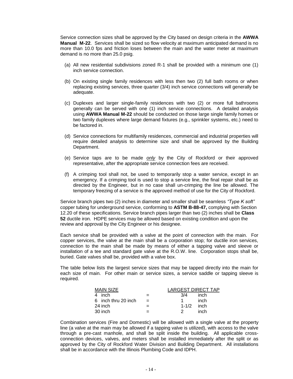Service connection sizes shall be approved by the City based on design criteria in the **AWWA Manual M-22**. Services shall be sized so flow velocity at maximum anticipated demand is no more than 10.0 fps and friction loses between the main and the water meter at maximum demand is no more than 25.0 psig.

- (a) All new residential subdivisions zoned R-1 shall be provided with a minimum one (1) inch service connection.
- (b) On existing single family residences with less then two (2) full bath rooms or when replacing existing services, three quarter (3/4) inch service connections will generally be adequate.
- (c) Duplexes and larger single-family residences with two (2) or more full bathrooms generally can be served with one (1) inch service connections. A detailed analysis using **AWWA Manual M-22** should be conducted on those large single family homes or two family duplexes where large demand fixtures (e.g., sprinkler systems, etc.) need to be factored in.
- (d) Service connections for multifamily residences, commercial and industrial properties will require detailed analysis to determine size and shall be approved by the Building Department.
- (e) Service taps are to be made *only* by the City of Rockford or their approved representative, after the appropriate service connection fees are received.
- (f) A crimping tool shall not, be used to temporarily stop a water service, except in an emergency. If a crimping tool is used to stop a service line, the final repair shall be as directed by the Engineer, but in no case shall un-crimping the line be allowed. The temporary freezing of a service is the approved method of use for the City of Rockford.

Service branch pipes two (2) inches in diameter and smaller shall be seamless *"Type K soft"* copper tubing for underground service, conforming to **ASTM B-88-47,** complying with Section 12.20 of these specifications. Service branch pipes larger than two (2) inches shall be **Class 52** ductile iron. HDPE services may be allowed based on existing condition and upon the review and approval by the City Engineer or his designee.

Each service shall be provided with a valve at the point of connection with the main. For copper services, the valve at the main shall be a corporation stop; for ductile iron services, connection to the main shall be made by means of either a tapping valve and sleeve or installation of a tee and standard gate valve at the R.O.W. line. Corporation stops shall be, buried. Gate valves shall be, provided with a valve box.

The table below lists the largest service sizes that may be tapped directly into the main for each size of main. For other main or service sizes, a service saddle or tapping sleeve is required.

| MAIN SIZE              |     | LARGEST DIRECT TAP  |
|------------------------|-----|---------------------|
| inch<br>$\overline{a}$ |     | 3/4<br>inch         |
| 6 inch thru 20 inch    | $=$ | inch                |
| 24 inch                |     | $1 - 1/2$<br>— inch |
| 30 inch                |     | inch                |

Combination services (Fire and Domestic) will be allowed with a single valve at the property line (a valve at the main may be allowed if a tapping valve is utilized), with access to the valve through a pre-cast manhole, and shall be split inside the building. All applicable crossconnection devices, valves, and meters shall be installed immediately after the split or as approved by the City of Rockford Water Division and Building Department. All installations shall be in accordance with the Illinois Plumbing Code and IDPH.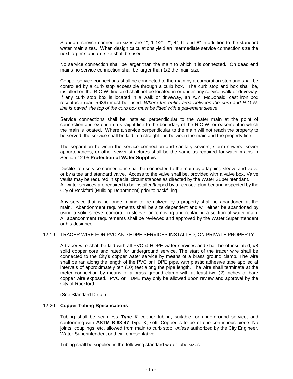Standard service connection sizes are 1", 1-1/2", 2", 4", 6" and 8" in addition to the standard water main sizes. When design calculations yield an intermediate service connection size the next larger standard size shall be used.

No service connection shall be larger than the main to which it is connected. On dead end mains no service connection shall be larger than 1/2 the main size.

Copper service connections shall be connected to the main by a corporation stop and shall be controlled by a curb stop accessible through a curb box. The curb stop and box shall be, installed on the R.O.W. line and shall not be located in or under any service walk or driveway. If any curb stop box is located in a walk or driveway, an A.Y. McDonald, cast iron box receptacle (part 5639) must be, used. *Where the entire area between the curb and R.O.W. line is paved, the top of the curb box must be fitted with a pavement sleeve.*

Service connections shall be installed perpendicular to the water main at the point of connection and extend in a straight line to the boundary of the R.O.W. or easement in which the main is located. Where a service perpendicular to the main will not reach the property to be served, the service shall be laid in a straight line between the main and the property line.

The separation between the service connection and sanitary sewers, storm sewers, sewer appurtenances, or other sewer structures shall be the same as required for water mains in Section 12.05 **Protection of Water Supplies**.

Ductile iron service connections shall be connected to the main by a tapping sleeve and valve or by a tee and standard valve. Access to the valve shall be, provided with a valve box. Valve vaults may be required in special circumstances as directed by the Water Superintendant. All water services are required to be installed/tapped by a licensed plumber and inspected by the City of Rockford (Building Department) prior to backfilling.

Any service that is no longer going to be utilized by a property shall be abandoned at the main. Abandonment requirements shall be size dependent and will either be abandoned by using a solid sleeve, corporation sleeve, or removing and replacing a section of water main. All abandonment requirements shall be reviewed and approved by the Water Superintendent or his designee.

#### 12.19 TRACER WIRE FOR PVC AND HDPE SERVICES INSTALLED, ON PRIVATE PROPERTY

A tracer wire shall be laid with all PVC & HDPE water services and shall be of insulated, #8 solid copper core and rated for underground service. The start of the tracer wire shall be connected to the City's copper water service by means of a brass ground clamp. The wire shall be ran along the length of the PVC or HDPE pipe, with plastic adhesive tape applied at intervals of approximately ten (10) feet along the pipe length. The wire shall terminate at the meter connection by means of a brass ground clamp with at least two (2) inches of bare copper wire exposed. PVC or HDPE may only be allowed upon review and approval by the City of Rockford.

(See Standard Detail)

#### 12.20 **Copper Tubing Specifications**

Tubing shall be seamless **Type K** copper tubing, suitable for underground service, and conforming with **ASTM B-88-47** Type K, soft. Copper is to be of one continuous piece. No joints, couplings, etc. allowed from main to curb stop, *unless* authorized by the City Engineer, Water Superintendent or their representative.

Tubing shall be supplied in the following standard water tube sizes: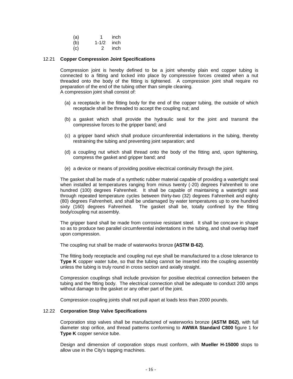(a) 1 inch

(b) 1-1/2 inch

(c) 2 inch

#### 12.21 **Copper Compression Joint Specifications**

Compression joint is hereby defined to be a joint whereby plain end copper tubing is connected to a fitting and locked into place by compressive forces created when a nut threaded onto the body of the fitting is tightened. A compression joint shall require no preparation of the end of the tubing other than simple cleaning. A compression joint shall consist of:

- (a) a receptacle in the fitting body for the end of the copper tubing, the outside of which receptacle shall be threaded to accept the coupling nut; and
- (b) a gasket which shall provide the hydraulic seal for the joint and transmit the compressive forces to the gripper band; and
- (c) a gripper band which shall produce circumferential indentations in the tubing, thereby restraining the tubing and preventing joint separation; and
- (d) a coupling nut which shall thread onto the body of the fitting and, upon tightening, compress the gasket and gripper band; and
- (e) a device or means of providing positive electrical continuity through the joint.

The gasket shall be made of a synthetic rubber material capable of providing a watertight seal when installed at temperatures ranging from minus twenty (-20) degrees Fahrenheit to one hundred (100) degrees Fahrenheit. It shall be capable of maintaining a watertight seal through repeated temperature cycles between thirty-two (32) degrees Fahrenheit and eighty (80) degrees Fahrenheit, and shall be undamaged by water temperatures up to one hundred sixty (160) degrees Fahrenheit. The gasket shall be, totally confined by the fitting body/coupling nut assembly.

The gripper band shall be made from corrosive resistant steel. It shall be concave in shape so as to produce two parallel circumferential indentations in the tubing, and shall overlap itself upon compression.

The coupling nut shall be made of waterworks bronze **(ASTM B-62)**.

The fitting body receptacle and coupling nut eye shall be manufactured to a close tolerance to **Type K** copper water tube, so that the tubing cannot be inserted into the coupling assembly unless the tubing is truly round in cross section and axially straight.

Compression couplings shall include provision for positive electrical connection between the tubing and the fitting body. The electrical connection shall be adequate to conduct 200 amps without damage to the gasket or any other part of the joint.

Compression coupling joints shall not pull apart at loads less than 2000 pounds.

#### 12.22 **Corporation Stop Valve Specifications**

Corporation stop valves shall be manufactured of waterworks bronze **(ASTM B62)**, with full diameter stop orifice, and thread patterns conforming to **AWWA Standard C800** figure 1 for **Type K** copper service tube.

Design and dimension of corporation stops must conform, with **Mueller H-15000** stops to allow use in the City's tapping machines.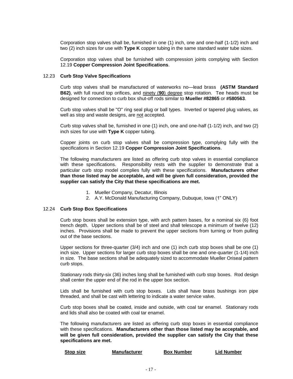Corporation stop valves shall be, furnished in one (1) inch, one and one-half (1-1/2) inch and two (2) inch sizes for use with **Type K** copper tubing in the same standard water tube sizes.

Corporation stop valves shall be furnished with compression joints complying with Section 12.19 **Copper Compression Joint Specifications**.

#### 12.23 **Curb Stop Valve Specifications**

Curb stop valves shall be manufactured of waterworks no—lead brass **(ASTM Standard B62)**, with full round top orifices, and ninety (**90**) degree stop rotation. Tee heads must be designed for connection to curb box shut-off rods similar to **Mueller #82865** or **#580563**.

Curb stop valves shall be "O" ring seal plug or ball types. Inverted or tapered plug valves, as well as stop and waste designs, are not accepted.

Curb stop valves shall be, furnished in one (1) inch, one and one-half (1-1/2) inch, and two (2) inch sizes for use with **Type K** copper tubing.

Copper joints on curb stop valves shall be compression type, complying fully with the specifications in Section 12.19 **Copper Compression Joint Specifications**.

The following manufacturers are listed as offering curb stop valves in essential compliance with these specifications. Responsibility rests with the supplier to demonstrate that a particular curb stop model complies fully with these specifications. **Manufacturers other than those listed may be acceptable, and will be given full consideration, provided the supplier can satisfy the City that these specifications are met.**

- 1. Mueller Company, Decatur, Illinois
- 2. A.Y. McDonald Manufacturing Company, Dubuque, Iowa (1" ONLY)

#### 12.24 **Curb Stop Box Specifications**

Curb stop boxes shall be extension type, with arch pattern bases, for a nominal six (6) foot trench depth. Upper sections shall be of steel and shall telescope a minimum of twelve (12) inches. Provisions shall be made to prevent the upper sections from turning or from pulling out of the base sections.

Upper sections for three-quarter (3/4) inch and one (1) inch curb stop boxes shall be one (1) inch size. Upper sections for larger curb stop boxes shall be one and one-quarter (1-1/4) inch in size. The base sections shall be adequately sized to accommodate Mueller Oriseal pattern curb stops.

Stationary rods thirty-six (36) inches long shall be furnished with curb stop boxes. Rod design shall center the upper end of the rod in the upper box section.

Lids shall be furnished with curb stop boxes. Lids shall have brass bushings iron pipe threaded, and shall be cast with lettering to indicate a water service valve.

Curb stop boxes shall be coated, inside and outside, with coal tar enamel. Stationary rods and lids shall also be coated with coal tar enamel.

The following manufacturers are listed as offering curb stop boxes in essential compliance with these specifications. **Manufacturers other than those listed may be acceptable, and will be given full consideration, provided the supplier can satisfy the City that these specifications are met.**

| Stop size | Manufacturer | <b>Box Number</b> | <b>Lid Number</b> |
|-----------|--------------|-------------------|-------------------|
|           |              |                   |                   |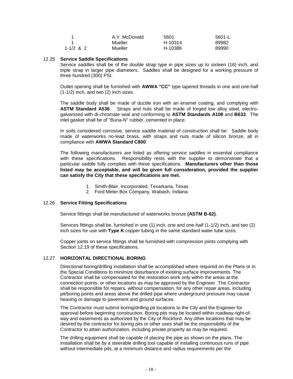|           | A.Y. McDonald | 5601    | 5601-L |
|-----------|---------------|---------|--------|
|           | Mueller       | H-10314 | 89982  |
| 1-1/2 & 2 | Mueller       | H-10386 | 89990  |

#### 12.25 **Service Saddle Specifications**

Service saddles shall be of the double strap type in pipe sizes up to sixteen (16) inch, and triple strap in larger pipe diameters. Saddles shall be designed for a working pressure of three hundred (300) PSI.

Outlet opening shall be furnished with **AWWA "CC"** type tapered threads in one and one-half (1-1/2) inch, and two (2) inch sizes.

The saddle body shall be made of ductile iron with an enamel coating, and complying with **ASTM Standard A536**. Straps and nuts shall be made of forged low alloy steel, electrogalvanized with di-chromate seal and conforming to **ASTM Standards A108** and **B633**. The inlet gasket shall be of "Buna-N" rubber, cemented in place.

In soils considered corrosive, service saddle material of construction shall be: Saddle body made of waterworks no-lead brass, with straps and nuts made of silicon bronze, all in compliance with **AWWA Standard C800**.

The following manufacturers are listed as offering service saddles in essential compliance with these specifications. Responsibility rests with the supplier to demonstrate that a particular saddle fully complies with these specifications. **Manufacturers other than those listed may be acceptable, and will be given full consideration, provided the supplier can satisfy the City that these specifications are met.**

- 1. Smith-Blair, Incorporated, Texarkana, Texas
- 2. Ford Meter Box Company, Wabash, Indiana

#### 12.26 **Service Fitting Specifications**

Service fittings shall be manufactured of waterworks bronze **(ASTM B-62)**.

Services fittings shall be, furnished in one (1) inch, one and one-half (1-1/2) inch, and two (2) inch sizes for use with **Type K** copper tubing in the same standard water tube sizes.

Copper joints on service fittings shall be furnished with compression joints complying with Section 12.19 of these specifications.

#### 12.27 **HORIZONTAL DIRECTIONAL BORING**

Directional boring/drilling installation shall be accomplished where required on the Plans or in the Special Conditions to minimize disturbance of existing surface improvements. The Contractor shall be compensated for the restoration work only within the areas at the connection points, or other locations as may be approved by the Engineer. The Contractor shall be responsible for repairs, without compensation, for any other repair areas, including pit/boring points and areas above the drilled pipe where underground pressure may cause heaving or damage to pavement and ground surfaces.

The Contractor must submit boring/drilling pit locations to the City and the Engineer for approval before beginning construction. Boring pits may be located within roadway right-ofway and easements as authorized by the City of Rockford. Any other locations that may be desired by the contractor for boring pits or other uses shall be the responsibility of the Contractor to attain authorization, including private property as may be required.

The drilling equipment shall be capable of placing the pipe as shown on the plans. The installation shall be by a steerable drilling tool capable of installing continuous runs of pipe without intermediate pits, at a minimum distance and radius requirements per the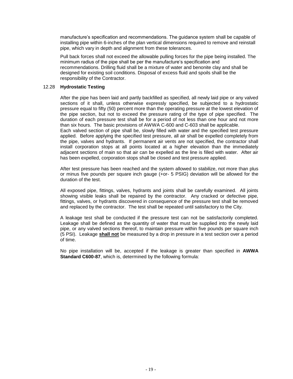manufacture's specification and recommendations. The guidance system shall be capable of installing pipe within 6-inches of the plan vertical dimensions required to remove and reinstall pipe, which vary in depth and alignment from these tolerances.

Pull back forces shall not exceed the allowable pulling forces for the pipe being installed. The minimum radius of the pipe shall be per the manufacture's specification and recommendations. Drilling fluid shall be a mixture of water and benonite clay and shall be designed for existing soil conditions. Disposal of excess fluid and spoils shall be the responsibility of the Contractor.

#### 12.28 **Hydrostatic Testing**

After the pipe has been laid and partly backfilled as specified, all newly laid pipe or any valved sections of it shall, unless otherwise expressly specified, be subjected to a hydrostatic pressure equal to fifty (50) percent more than the operating pressure at the lowest elevation of the pipe section, but not to exceed the pressure rating of the type of pipe specified. The duration of each pressure test shall be for a period of not less than one hour and not more than six hours. The basic provisions of AWWA C-600 and C-603 shall be applicable.

Each valved section of pipe shall be, slowly filled with water and the specified test pressure applied. Before applying the specified test pressure, all air shall be expelled completely from the pipe, valves and hydrants. If permanent air vents are not specified, the contractor shall install corporation stops at all points located at a higher elevation than the immediately adjacent sections of main so that air can be expelled as the line is filled with water. After air has been expelled, corporation stops shall be closed and test pressure applied.

After test pressure has been reached and the system allowed to stabilize, not more than plus or minus five pounds per square inch gauge (+or- 5 PSIG) deviation will be allowed for the duration of the test.

All exposed pipe, fittings, valves, hydrants and joints shall be carefully examined. All joints showing visible leaks shall be repaired by the contractor. Any cracked or defective pipe, fittings, valves, or hydrants discovered in consequence of the pressure test shall be removed and replaced by the contractor. The test shall be repeated until satisfactory to the City.

A leakage test shall be conducted if the pressure test can not be satisfactorily completed. Leakage shall be defined as the quantity of water that must be supplied into the newly laid pipe, or any valved sections thereof, to maintain pressure within five pounds per square inch (5 PSI). Leakage **shall not** be measured by a drop in pressure in a test section over a period of time.

No pipe installation will be, accepted if the leakage is greater than specified in **AWWA Standard C600-87**, which is, determined by the following formula: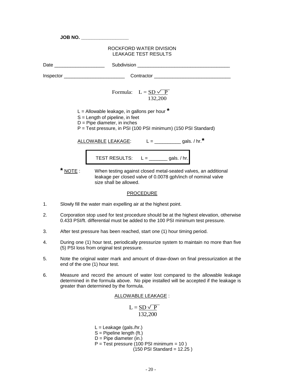|       | JOB NO. __________________                                                                                                                                                              |
|-------|-----------------------------------------------------------------------------------------------------------------------------------------------------------------------------------------|
|       | ROCKFORD WATER DIVISION<br><b>LEAKAGE TEST RESULTS</b>                                                                                                                                  |
|       |                                                                                                                                                                                         |
|       |                                                                                                                                                                                         |
|       | Formula: $L = SD \vee P$<br>132,200                                                                                                                                                     |
|       | L = Allowable leakage, in gallons per hour $*$<br>$S =$ Length of pipeline, in feet<br>$D =$ Pipe diameter, in inches<br>P = Test pressure, in PSI (100 PSI minimum) (150 PSI Standard) |
|       | ALLOWABLE LEAKAGE: $L =$ ______________ gals. / hr.*                                                                                                                                    |
|       | TEST RESULTS: $L = \underline{\qquad \qquad}$ gals. / hr.                                                                                                                               |
| NOTE: | When testing against closed metal-seated valves, an additional<br>leakage per closed valve of 0.0078 gph/inch of nominal valve<br>size shall be allowed.                                |

### **PROCEDURE**

- 1. Slowly fill the water main expelling air at the highest point.
- 2. Corporation stop used for test procedure should be at the highest elevation, otherwise 0.433 PSI/ft. differential must be added to the 100 PSI minimum test pressure.
- 3. After test pressure has been reached, start one (1) hour timing period.
- 4. During one (1) hour test, periodically pressurize system to maintain no more than five (5) PSI loss from original test pressure.
- 5. Note the original water mark and amount of draw-down on final pressurization at the end of the one (1) hour test.
- 6. Measure and record the amount of water lost compared to the allowable leakage determined in the formula above. No pipe installed will be accepted if the leakage is greater than determined by the formula.

ALLOWABLE LEAKAGE :

$$
L = \frac{SD \sqrt{P}}{132,200}
$$

 $L =$  Leakage (gals./hr.)  $S =$  Pipeline length (ft.)  $D =$  Pipe diameter (in.)  $P = Test pressure (100 PSI minimum = 10)$  $(150$  PSI Standard = 12.25)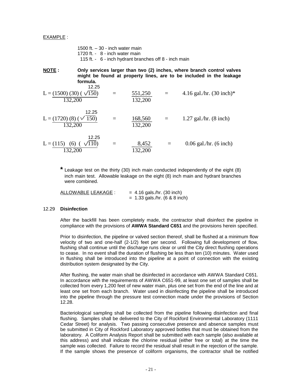#### EXAMPLE :

1500 ft. – 30 - inch water main 1720 ft. - 8 - inch water main 115 ft. - 6 - inch hydrant branches off 8 - inch main

**NOTE : Only services larger than two (2) inches, where branch control valves might be found at property lines, are to be included in the leakage formula.**

$$
L = \frac{(1500)(30)(\sqrt{150})}{132,200} = \frac{551,250}{132,200} = 4.16 \text{ gal./hr.} (30 \text{ inch})^*
$$
  
\n
$$
L = \frac{(1720)(8)(\sqrt{150})}{132,200} = \frac{168,560}{132,200} = 1.27 \text{ gal./hr.} (8 \text{ inch})
$$
  
\n
$$
L = \frac{(115)(6)(\sqrt{110})}{132,200} = \frac{8,452}{132,200} = 0.06 \text{ gal./hr.} (6 \text{ inch})
$$

**\*** Leakage test on the thirty (30) inch main conducted independently of the eight (8) inch main test. Allowable leakage on the eight (8) inch main and hydrant branches were combined.

 $ALLOWABLE LEAKAGE: = 4.16 gals/hr. (30 inch)$  $= 1.33$  gals./hr. (6 & 8 inch)

#### 12.29 **Disinfection**

After the backfill has been completely made, the contractor shall disinfect the pipeline in compliance with the provisions of **AWWA Standard C651** and the provisions herein specified.

Prior to disinfection, the pipeline or valved section thereof, shall be flushed at a minimum flow velocity of two and one-half (2-1/2) feet per second. Following full development of flow, flushing shall continue until the discharge runs clear or until the City direct flushing operations to cease. In no event shall the duration of flushing be less than ten (10) minutes. Water used in flushing shall be introduced into the pipeline at a point of connection with the existing distribution system designated by the City.

After flushing, the water main shall be disinfected in accordance with AWWA Standard C651. In accordance with the requirements of AWWA C651-99, at least one set of samples shall be collected from every 1,200 feet of new water main, plus one set from the end of the line and at least one set from each branch. Water used in disinfecting the pipeline shall be introduced into the pipeline through the pressure test connection made under the provisions of Section 12.28.

Bacteriological sampling shall be collected from the pipeline following disinfection and final flushing. Samples shall be delivered to the City of Rockford Environmental Laboratory (1111 Cedar Street) for analysis. Two passing consecutive presence and absence samples must be submitted in City of Rockford Laboratory approved bottles that must be obtained from the laboratory. A Coliform Analysis Report shall be submitted with each sample (also available at this address) and shall indicate the chlorine residual (either free or total) at the time the sample was collected. Failure to record the residual shall result in the rejection of the sample. If the sample shows the presence of coliform organisms, the contractor shall be notified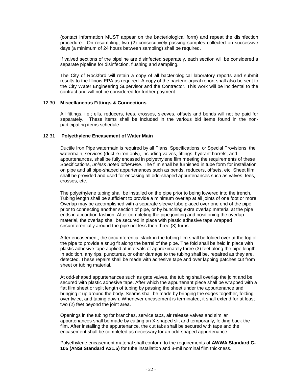(contact information MUST appear on the bacteriological form) and repeat the disinfection procedure. On resampling, two (2) consecutively passing samples collected on successive days (a minimum of 24 hours between sampling) shall be required.

If valved sections of the pipeline are disinfected separately, each section will be considered a separate pipeline for disinfection, flushing and sampling.

The City of Rockford will retain a copy of all bacteriological laboratory reports and submit results to the Illinois EPA as required. A copy of the bacteriological report shall also be sent to the City Water Engineering Supervisor and the Contractor. This work will be incidental to the contract and will not be considered for further payment.

#### 12.30 **Miscellaneous Fittings & Connections**

All fittings, i.e.; ells, reducers, tees, crosses, sleeves, offsets and bends will not be paid for separately. These items shall be included in the various bid items found in the nonparticipating items schedule.

#### 12.31 **Polyethylene Encasement of Water Main**

Ductile Iron Pipe watermain is required by all Plans, Specifications, or Special Provisions, the watermain, services (ductile iron only), including valves, fittings, hydrant barrels, and appurtenances, shall be fully encased in polyethylene film meeting the requirements of these Specifications, *unless noted otherwise*. The film shall be furnished in tube form for installation on pipe and all pipe-shaped appurtenances such as bends, reducers, offsets, etc. Sheet film shall be provided and used for encasing all odd-shaped appurtenances such as valves, tees, crosses, etc.

The polyethylene tubing shall be installed on the pipe prior to being lowered into the trench. Tubing length shall be sufficient to provide a minimum overlap at all joints of one foot or more. Overlap may be accomplished with a separate sleeve tube placed over one end of the pipe prior to connecting another section of pipe, or by bunching extra overlap material at the pipe ends in accordion fashion, After completing the pipe jointing and positioning the overlap material, the overlap shall be secured in place with plastic adhesive tape wrapped circumferentially around the pipe not less then three (3) turns.

After encasement, the circumferential slack in the tubing film shall be folded over at the top of the pipe to provide a snug fit along the barrel of the pipe. The fold shall be held in place with plastic adhesive tape applied at intervals of approximately three (3) feet along the pipe length. In addition, any rips, punctures, or other damage to the tubing shall be, repaired as they are, detected. These repairs shall be made with adhesive tape and over lapping patches cut from sheet or tubing material.

At odd-shaped appurtenances such as gate valves, the tubing shall overlap the joint and be secured with plastic adhesive tape. After which the appurtenant piece shall be wrapped with a flat film sheet or split length of tubing by passing the sheet under the appurtenance and bringing it up around the body. Seams shall be made by bringing the edges together, folding over twice, and taping down. Whenever encasement is terminated, it shall extend for at least two (2) feet beyond the joint area.

Openings in the tubing for branches, service taps, air release valves and similar appurtenances shall be made by cutting an X-shaped slit and temporarily, folding back the film. After installing the appurtenance, the cut tabs shall be secured with tape and the encasement shall be completed as necessary for an odd-shaped appurtenance.

Polyethylene encasement material shall conform to the requirements of **AWWA Standard C-105 (ANSI Standard A21.5)** for tube installation and 8-mil nominal film thickness.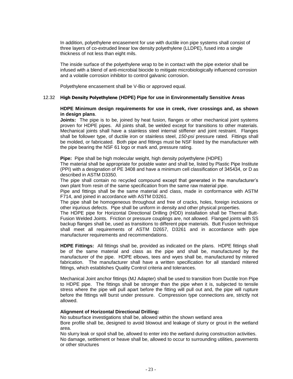In addition, polyethylene encasement for use with ductile iron pipe systems shall consist of three layers of co-extruded linear low density polyethylene (LLDPE), fused into a single thickness of not less than eight mils.

The inside surface of the polyethylene wrap to be in contact with the pipe exterior shall be infused with a blend of anti-microbial biocide to mitigate microbiologically influenced corrosion and a volatile corrosion inhibitor to control galvanic corrosion.

Polyethylene encasement shall be V-Bio or approved equal.

#### 12.32 **High Density Polyethylene (HDPE) Pipe for use in Environmentally Sensitive Areas**

#### **HDPE Minimum design requirements for use in creek, river crossings and, as shown in design plans**.

**Joints:** The pipe is to be, joined by heat fusion, flanges or other mechanical joint systems proven for HDPE pipes. All joints shall, be welded except for transitions to other materials. Mechanical joints shall have a stainless steel internal stiffener and joint restraint. Flanges shall be follower type, of ductile iron or stainless steel, *150-psi* pressure rated. Fittings shall be molded, or fabricated. Both pipe and fittings must be NSF listed by the manufacturer with the pipe bearing the NSF 61 logo or mark and, pressure rating.

**Pipe:** Pipe shall be high molecular weight, high density polyethylene (HDPE)

The material shall be appropriate for potable water and shall be, listed by Plastic Pipe Institute (PPI) with a designation of PE 3408 and have a minimum cell classification of 345434, or D as described in ASTM D3350.

The pipe shall contain no recycled compound except that generated in the manufacturer's own plant from resin of the same specification from the same raw material pipe.

Pipe and fittings shall be the same material and class, made in conformance with ASTM F714, and joined in accordance with ASTM D3261.

The pipe shall be homogeneous throughout and free of cracks, holes, foreign inclusions or other injurious defects. Pipe shall be uniform in density and other physical properties.

The HDPE pipe for Horizontal Directional Drilling (HDD) installation shall be Thermal Butt-Fusion Welded Joints. Friction or pressure couplings are, not allowed. Flanged joints with SS backup flanges shall be, used as transitions to different pipe materials. Butt Fusion technique shall meet all requirements of ASTM D2657, D3261 and in accordance with pipe manufacturer requirements and recommendations.

**HDPE Fittings:** All fittings shall be, provided as indicated on the plans. HDPE fittings shall be of the same material and class as the pipe and shall be, manufactured by the manufacturer of the pipe. HDPE elbows, tees and wyes shall be, manufactured by mitered fabrication. The manufacturer shall have a written specification for all standard mitered fittings, which establishes Quality Control criteria and tolerances.

Mechanical Joint anchor fittings (MJ Adapter) shall be used to transition from Ductile Iron Pipe to HDPE pipe. The fittings shall be stronger than the pipe when it is, subjected to tensile stress where the pipe will pull apart before the fitting will pull out and, the pipe will rupture before the fittings will burst under pressure. Compression type connections are, strictly not allowed.

#### **Alignment of Horizontal Directional Drilling:**

No subsurface investigations shall be, allowed within the shown wetland area

Bore profile shall be, designed to avoid blowout and leakage of slurry or grout in the wetland area.

No slurry leak or spoil shall be, allowed to enter into the wetland during construction activities. No damage, settlement or heave shall be, allowed to occur to surrounding utilities, pavements or other structures